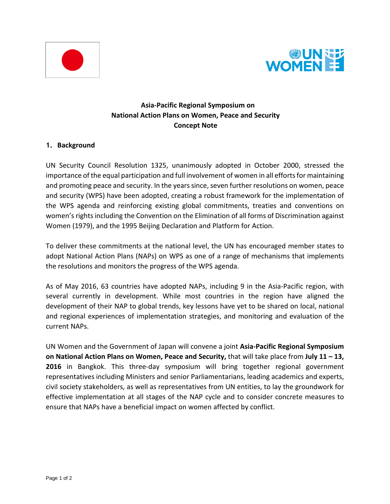



# **Asia-Pacific Regional Symposium on National Action Plans on Women, Peace and Security Concept Note**

#### **1. Background**

UN Security Council Resolution 1325, unanimously adopted in October 2000, stressed the importance of the equal participation and full involvement of women in all efforts for maintaining and promoting peace and security. In the years since, seven further resolutions on women, peace and security (WPS) have been adopted, creating a robust framework for the implementation of the WPS agenda and reinforcing existing global commitments, treaties and conventions on women's rights including the Convention on the Elimination of all forms of Discrimination against Women (1979), and the 1995 Beijing Declaration and Platform for Action.

To deliver these commitments at the national level, the UN has encouraged member states to adopt National Action Plans (NAPs) on WPS as one of a range of mechanisms that implements the resolutions and monitors the progress of the WPS agenda.

As of May 2016, 63 countries have adopted NAPs, including 9 in the Asia-Pacific region, with several currently in development. While most countries in the region have aligned the development of their NAP to global trends, key lessons have yet to be shared on local, national and regional experiences of implementation strategies, and monitoring and evaluation of the current NAPs.

UN Women and the Government of Japan will convene a joint **Asia-Pacific Regional Symposium on National Action Plans on Women, Peace and Security,** that will take place from **July 11 – 13, 2016** in Bangkok. This three-day symposium will bring together regional government representatives including Ministers and senior Parliamentarians, leading academics and experts, civil society stakeholders, as well as representatives from UN entities, to lay the groundwork for effective implementation at all stages of the NAP cycle and to consider concrete measures to ensure that NAPs have a beneficial impact on women affected by conflict.